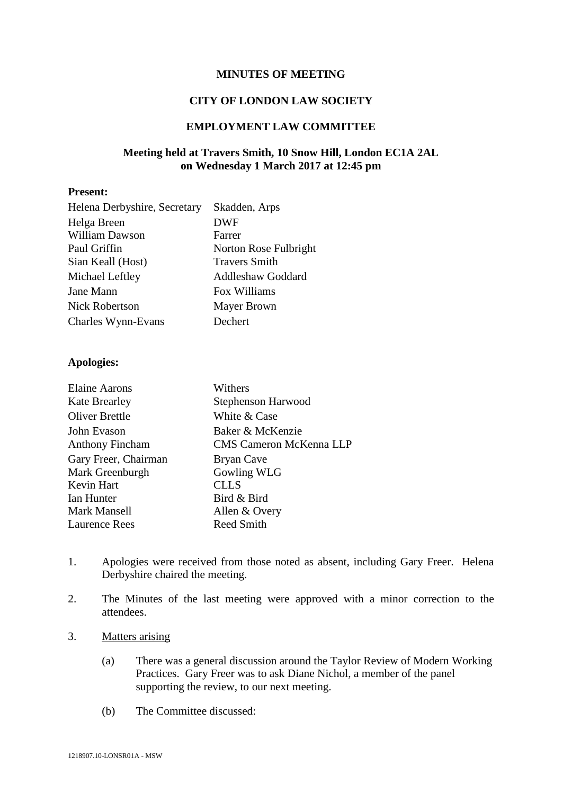#### **MINUTES OF MEETING**

#### **CITY OF LONDON LAW SOCIETY**

#### **EMPLOYMENT LAW COMMITTEE**

## **Meeting held at Travers Smith, 10 Snow Hill, London EC1A 2AL on Wednesday 1 March 2017 at 12:45 pm**

#### **Present:**

| Helena Derbyshire, Secretary | Skadden, Arps            |
|------------------------------|--------------------------|
| Helga Breen                  | <b>DWF</b>               |
| William Dawson               | Farrer                   |
| Paul Griffin                 | Norton Rose Fulbright    |
| Sian Keall (Host)            | <b>Travers Smith</b>     |
| Michael Leftley              | <b>Addleshaw Goddard</b> |
| Jane Mann                    | Fox Williams             |
| <b>Nick Robertson</b>        | <b>Mayer Brown</b>       |
| Charles Wynn-Evans           | Dechert                  |

#### **Apologies:**

| <b>Elaine Aarons</b>   | Withers                        |
|------------------------|--------------------------------|
| <b>Kate Brearley</b>   | Stephenson Harwood             |
| <b>Oliver Brettle</b>  | White & Case                   |
| John Evason            | Baker & McKenzie               |
| <b>Anthony Fincham</b> | <b>CMS Cameron McKenna LLP</b> |
| Gary Freer, Chairman   | Bryan Cave                     |
| Mark Greenburgh        | Gowling WLG                    |
| Kevin Hart             | <b>CLLS</b>                    |
| Ian Hunter             | Bird & Bird                    |
| Mark Mansell           | Allen & Overy                  |
| <b>Laurence Rees</b>   | <b>Reed Smith</b>              |

- 1. Apologies were received from those noted as absent, including Gary Freer. Helena Derbyshire chaired the meeting.
- 2. The Minutes of the last meeting were approved with a minor correction to the attendees.
- 3. Matters arising
	- (a) There was a general discussion around the Taylor Review of Modern Working Practices. Gary Freer was to ask Diane Nichol, a member of the panel supporting the review, to our next meeting.
	- (b) The Committee discussed: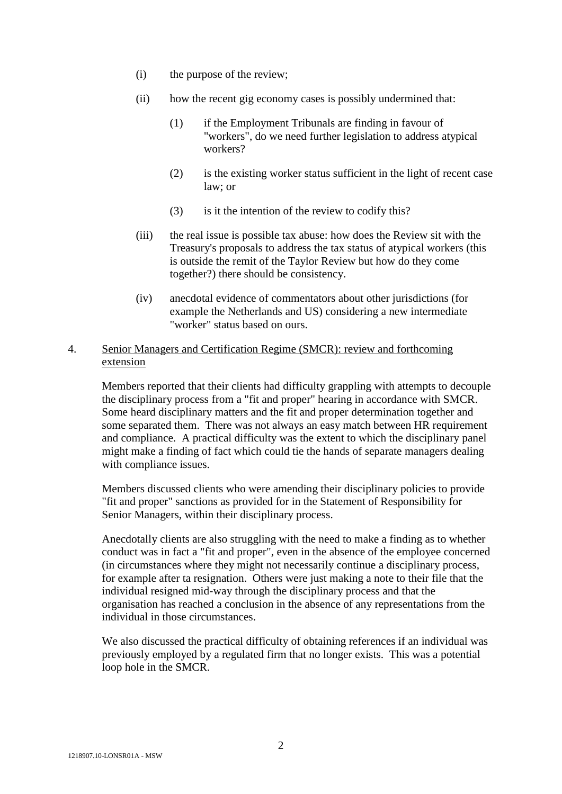- (i) the purpose of the review;
- (ii) how the recent gig economy cases is possibly undermined that:
	- (1) if the Employment Tribunals are finding in favour of "workers", do we need further legislation to address atypical workers?
	- (2) is the existing worker status sufficient in the light of recent case law; or
	- (3) is it the intention of the review to codify this?
- (iii) the real issue is possible tax abuse: how does the Review sit with the Treasury's proposals to address the tax status of atypical workers (this is outside the remit of the Taylor Review but how do they come together?) there should be consistency.
- (iv) anecdotal evidence of commentators about other jurisdictions (for example the Netherlands and US) considering a new intermediate "worker" status based on ours.

## 4. Senior Managers and Certification Regime (SMCR): review and forthcoming extension

Members reported that their clients had difficulty grappling with attempts to decouple the disciplinary process from a "fit and proper" hearing in accordance with SMCR. Some heard disciplinary matters and the fit and proper determination together and some separated them. There was not always an easy match between HR requirement and compliance. A practical difficulty was the extent to which the disciplinary panel might make a finding of fact which could tie the hands of separate managers dealing with compliance issues.

Members discussed clients who were amending their disciplinary policies to provide "fit and proper" sanctions as provided for in the Statement of Responsibility for Senior Managers, within their disciplinary process.

Anecdotally clients are also struggling with the need to make a finding as to whether conduct was in fact a "fit and proper", even in the absence of the employee concerned (in circumstances where they might not necessarily continue a disciplinary process, for example after ta resignation. Others were just making a note to their file that the individual resigned mid-way through the disciplinary process and that the organisation has reached a conclusion in the absence of any representations from the individual in those circumstances.

We also discussed the practical difficulty of obtaining references if an individual was previously employed by a regulated firm that no longer exists. This was a potential loop hole in the SMCR.